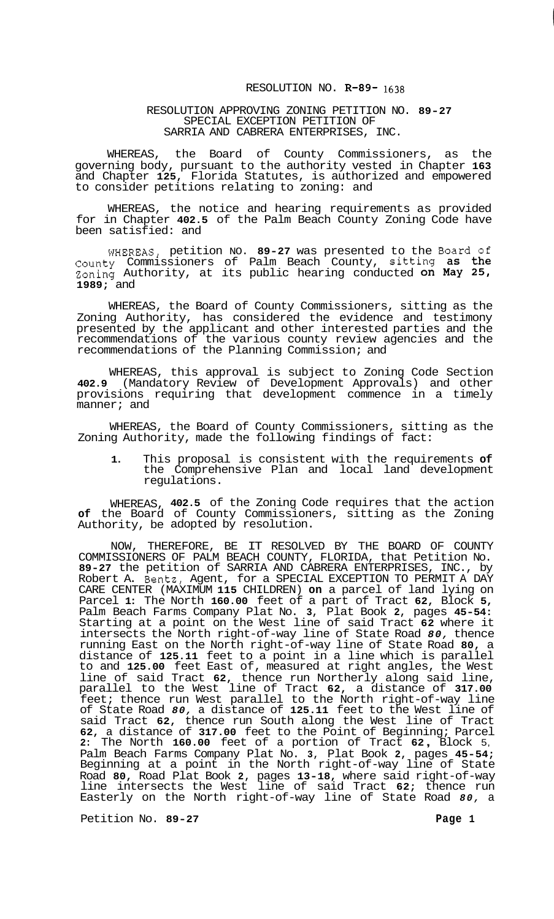## RESOLUTION NO. **R-89- 1638**

## RESOLUTION APPROVING ZONING PETITION NO. **89-27**  SPECIAL EXCEPTION PETITION OF SARRIA AND CABRERA ENTERPRISES, INC.

WHEREAS, the Board of County Commissioners, as the governing body, pursuant to the authority vested in Chapter **163**  and Chapter **125,** Florida Statutes, is authorized and empowered to consider petitions relating to zoning: and

WHEREAS, the notice and hearing requirements as provided for in Chapter **402.5** of the Palm Beach County Zoning Code have been satisfied: and

WHEREAS, petition NO. **89-27** was presented to the Board of County Commissioners of Palm Beach County, sitting as the Zoning Authority, at its public hearing conducted on May **25, 1989;** and

WHEREAS, the Board of County Commissioners, sitting as the Zoning Authority, has considered the evidence and testimony presented by the applicant and other interested parties and the recommendations of the various county review agencies and the recommendations of the Planning Commission; and

WHEREAS, this approval is subject to Zoning Code Section **402.9** (Mandatory Review of Development Approvals) and other provisions requiring that development commence in a timely manner; and

WHEREAS, the Board of County Commissioners, sitting as the Zoning Authority, made the following findings of fact:

**1.** This proposal is consistent with the requirements **of**  the Comprehensive Plan and local land development regulations.

WHEREAS, **402.5** of the Zoning Code requires that the action **of** the Board of County Commissioners, sitting as the Zoning Authority, be adopted by resolution.

NOW, THEREFORE, BE IT RESOLVED BY THE BOARD OF COUNTY COMMISSIONERS OF PALM BEACH COUNTY, FLORIDA, that Petition No. **89-27** the petition of SARRIA AND CABRERA ENTERPRISES, INC., by Robert A. Bentz, Agent, for a SPECIAL EXCEPTION TO PERMIT A DAY CARE CENTER (MAXIMUM **115** CHILDREN) **on** a parcel of land lying on Parcel **1:** The North **160.00** feet of a part of Tract **62,** Block **5,**  Palm Beach Farms Company Plat No. **3,** Plat Book **2,** pages **45-54:**  Starting at a point on the West line of said Tract **62** where it intersects the North right-of-way line of State Road *80,* thence running East on the North right-of-way line of State Road **80,** a distance of **125.11** feet to a point in a line which is parallel to and **125.00** feet East of, measured at right angles, the West line of said Tract **62,** thence run Northerly along said line, parallel to the West line of Tract **62,** a distance of **317.00**  feet; thence run West parallel to the North right-of-way line of State Road *80,* a distance of **125.11** feet to the West line of said Tract **62,** thence run South along the West line of Tract **62,** a distance of **317.00** feet to the Point of Beginning; Parcel **2:** The North **160.00** feet of a portion of Tract **62** , Block 5, Palm Beach Farms Company Plat No. **3,** Plat Book **2,** pages **45-54;**  Beginning at a point in the North right-of-way line of State Road **80,** Road Plat Book **2,** pages **13-18,** where said right-of-way line intersects the West line of said Tract **62;** thence run Easterly on the North right-of-way line of State Road *80,* a

Petition No. 89-27 Page 1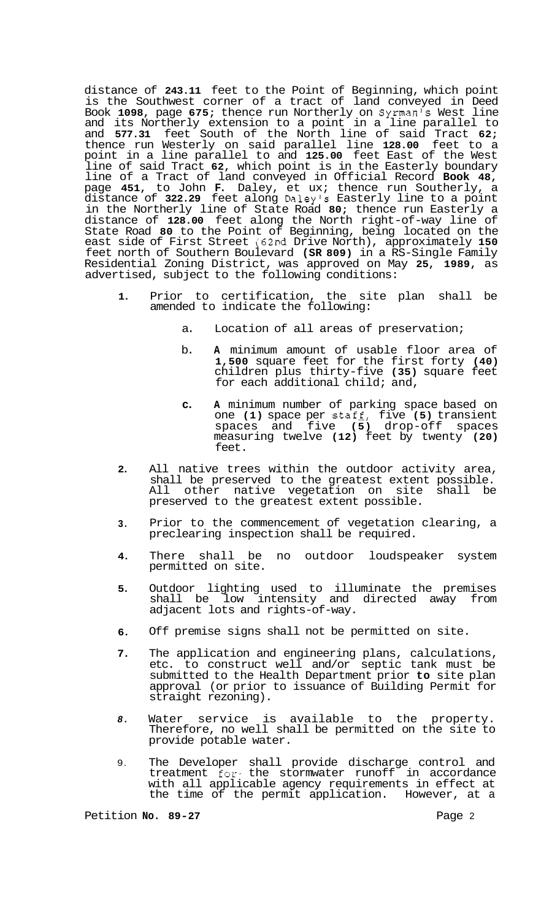distance of **243.11** feet to the Point of Beginning, which point is the Southwest corner of a tract of land conveyed in Deed Book **1098,** page **675;** thence run Northerly on Syrman's West line and its Northerly extension to a point in a line parallel to and **577.31** feet South of the North line of said Tract **62;**  thence run Westerly on said parallel line **128.00** feet to a point in a line parallel to and **125.00** feet East of the West line of said Tract **62,** which point is in the Easterly boundary line of a Tract of land conveyed in Official Record **Book 48,**  page **451,** to John **F.** Daley, et ux; thence run Southerly, a distance of **322.29** feet along Daley's Easterly line to a point in the Northerly line of State Road **80;** thence run Easterly a distance of **128.00** feet along the North right-of-way line of State Road **80** to the Point of Beginning, being located on the east side of First Street **(62nd** Drive North), approximately **150**  feet north of Southern Boulevard **(SR 809)** in a RS-Single Family Residential Zoning District, was approved on May **25, 1989,** as advertised, subject to the following conditions:

- **1.**  Prior to certification, the site plan shall be amended to indicate the following:
	- a. Location of all areas of preservation;
	- b. **A** minimum amount of usable floor area of **1,500** square feet for the first forty **(40)**  children plus thirty-five **(35)** square feet for each additional child; and,
	- **c. A** minimum number of parking space based on one **(1)** space per staff, five **(5)** transient spaces and five **(5)** drop-off spaces measuring twelve **(12)** feet by twenty **(20)**  feet.
- **2.**  All native trees within the outdoor activity area, shall be preserved to the greatest extent possible. All other native vegetation on site shall be preserved to the greatest extent possible.
- **3.**  Prior to the commencement of vegetation clearing, a preclearing inspection shall be required.
- **4.**  There shall be no outdoor loudspeaker system permitted on site.
- **5.**  Outdoor lighting used to illuminate the premises shall be low intensity and directed away from adjacent lots and rights-of-way.
- **6.**  Off premise signs shall not be permitted on site.
- **7.**  The application and engineering plans, calculations, etc. to construct well and/or septic tank must be submitted to the Health Department prior **to** site plan approval (or prior to issuance of Building Permit for straight rezoning).
- *8.*  Water service is available to the property. Therefore, no well shall be permitted on the site to provide potable water.
- 9. The Developer shall provide discharge control and treatment for- the stormwater runoff in accordance with all applicable agency requirements in effect at the time of the permit application. However, at a

Petition **No. 89-27** Page 2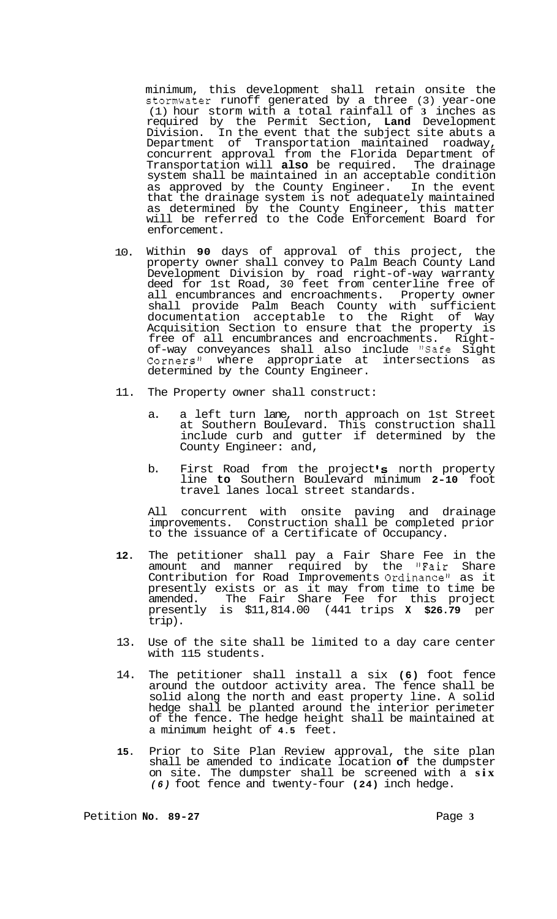minimum, this development shall retain onsite the stomwater runoff generated by a three (3) year-one (1) hour storm with a total rainfall of **3** inches as required by the Permit Section, **Land** Development Division. In the event that the subject site abuts a Department of Transportation maintained roadway, concurrent approval from the Florida Department of Transportation will **also** be required. The drainage system shall be maintained in an acceptable condition as approved by the County Engineer. In the event that the drainage system is not adequately maintained as determined by the County Engineer, this matter will be referred to the Code Enforcement Board for enforcement.

- 10. Within **90** days of approval of this project, the property owner shall convey to Palm Beach County Land Development Division by road right-of-way warranty deed for 1st Road, 30 feet from centerline free of all encumbrances and encroachments. Property owner shall provide Palm Beach County with sufficient documentation acceptable to the Right of Way Acquisition Section to ensure that the property is<br>free of all encumbrances and encroachments. Rightfree of all encumbrances and encroachments. Right- of-way conveyances shall also include "Safe Sight Corners" where appropriate at intersections as determined by the County Engineer.
- 11. The Property owner shall construct:
	- a. a left turn lane, north approach on 1st Street at Southern Boulevard. This construction shall include curb and gutter if determined by the County Engineer: and,
	- b. First Road from the project's north property line **to** Southern Boulevard minimum **2-10** foot travel lanes local street standards.

All concurrent with onsite paving and drainage improvements. Construction shall be completed prior to the issuance of a Certificate of Occupancy.

- **12.** The petitioner shall pay a Fair Share Fee in the amount and manner required by the "Fair Share Contribution for Road Improvements Ordinance" as it presently exists or as it may from time to time be amended. The Fair Share Fee for this project presently is \$11,814.00 (441 trips **X \$26.79** per trip).
- 13. Use of the site shall be limited to a day care center with 115 students.
- 14. The petitioner shall install a six **(6)** foot fence around the outdoor activity area. The fence shall be solid along the north and east property line. A solid hedge shall be planted around the interior perimeter of the fence. The hedge height shall be maintained at a minimum height of **4.5** feet.
- **15.** Prior to Site Plan Review approval, the site plan shall be amended to indicate location **of** the dumpster on site. The dumpster shall be screened with a **six**  *(6)* foot fence and twenty-four **(24)** inch hedge.

Petition **No.** 89-27 **Page 3 Page 3**